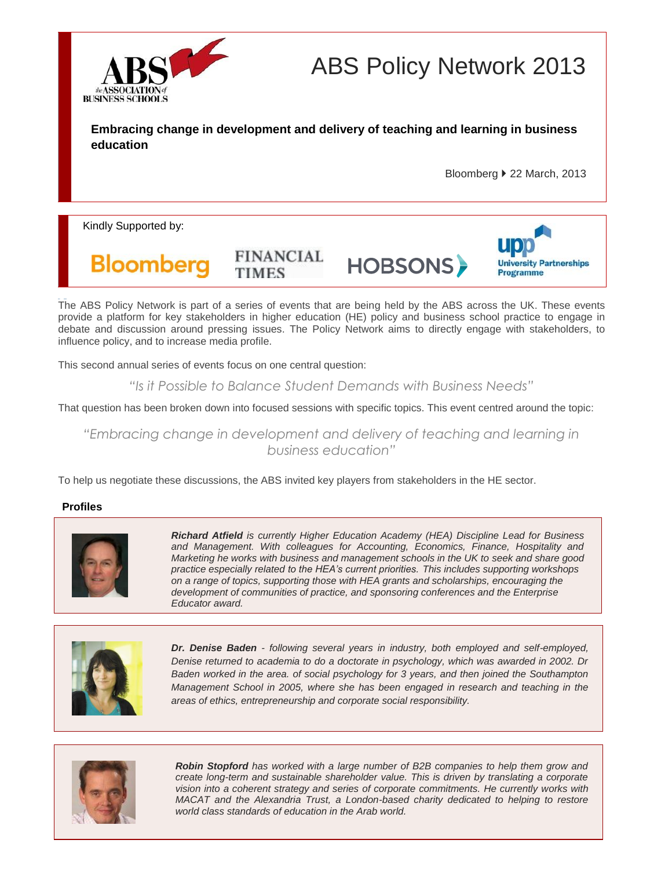

ABS Policy Network 2013

**Embracing change in development and delivery of teaching and learning in business education** 

Bloomberg ▶ 22 March, 2013

Kindly Supported by:



**HOBSONS** 



The ABS Policy Network is part of a series of events that are being held by the ABS across the UK. These events provide a platform for key stakeholders in higher education (HE) policy and business school practice to engage in debate and discussion around pressing issues. The Policy Network aims to directly engage with stakeholders, to influence policy, and to increase media profile.

This second annual series of events focus on one central question:

*"Is it Possible to Balance Student Demands with Business Needs"*

That question has been broken down into focused sessions with specific topics. This event centred around the topic:

*"Embracing change in development and delivery of teaching and learning in business education"*

To help us negotiate these discussions, the ABS invited key players from stakeholders in the HE sector.

**FINANCIAL** 

**TIMES** 

# **Profiles**



*Richard Atfield is currently Higher Education Academy (HEA) Discipline Lead for Business and Management. With colleagues for Accounting, Economics, Finance, Hospitality and Marketing he works with business and management schools in the UK to seek and share good practice especially related to the HEA's current priorities. This includes supporting workshops on a range of topics, supporting those with HEA grants and scholarships, encouraging the development of communities of practice, and sponsoring conferences and the Enterprise Educator award.*



*Dr. Denise Baden - following several years in industry, both employed and self-employed, Denise returned to academia to do a doctorate in psychology, which was awarded in 2002. Dr Baden worked in the area. of social psychology for 3 years, and then joined the Southampton Management School in 2005, where she has been engaged in research and teaching in the areas of ethics, entrepreneurship and corporate social responsibility.*



*Robin Stopford has worked with a large number of B2B companies to help them grow and create long-term and sustainable shareholder value. This is driven by translating a corporate vision into a coherent strategy and series of corporate commitments. He currently works with MACAT and the Alexandria Trust, a London-based charity dedicated to helping to restore world class standards of education in the Arab world.*